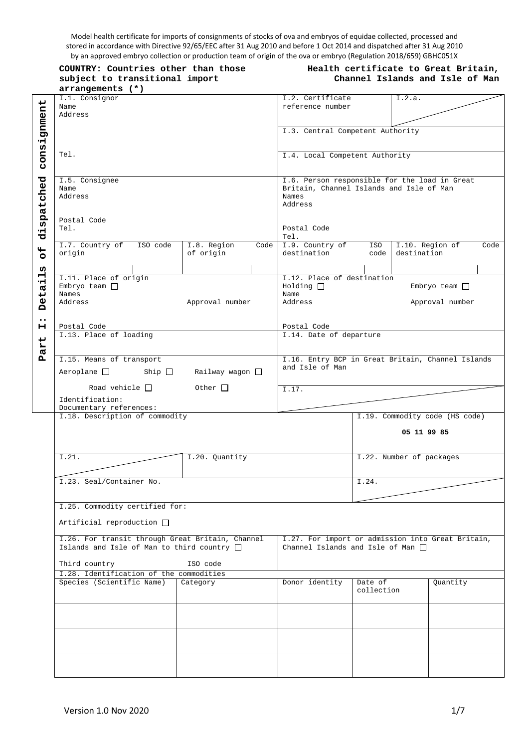Model health certificate for imports of consignments of stocks of ova and embryos of equidae collected, processed and stored in accordance with Directive 92/65/EEC after 31 Aug 2010 and before 1 Oct 2014 and dispatched after 31 Aug 2010 by an approved embryo collection or production team of origin of the ova or embryo (Regulation 2018/659) GBHC051X

|                       | COUNTRY: Countries other than those<br>subject to transitional import                                                | Health certificate to Great Britain,<br>Channel Islands and Isle of Man                                                              |                                                                                             |                       |                                |                                          |      |
|-----------------------|----------------------------------------------------------------------------------------------------------------------|--------------------------------------------------------------------------------------------------------------------------------------|---------------------------------------------------------------------------------------------|-----------------------|--------------------------------|------------------------------------------|------|
|                       | arrangements (*)                                                                                                     |                                                                                                                                      |                                                                                             |                       |                                |                                          |      |
|                       | I.1. Consignor<br>Name<br>Address                                                                                    |                                                                                                                                      | I.2. Certificate<br>reference number                                                        |                       | I.2.a.                         |                                          |      |
| consignment           |                                                                                                                      |                                                                                                                                      | I.3. Central Competent Authority                                                            |                       |                                |                                          |      |
|                       | Tel.                                                                                                                 |                                                                                                                                      | I.4. Local Competent Authority                                                              |                       |                                |                                          |      |
|                       | I.5. Consignee<br>Name<br>Address                                                                                    | I.6. Person responsible for the load in Great<br>Britain, Channel Islands and Isle of Man<br>Names<br>Address<br>Postal Code<br>Tel. |                                                                                             |                       |                                |                                          |      |
| dispatched            | Postal Code<br>Tel.                                                                                                  |                                                                                                                                      |                                                                                             |                       |                                |                                          |      |
| $\overline{5}$        | I.7. Country of<br>ISO code<br>origin                                                                                | I.8. Region<br>Code<br>of origin                                                                                                     | I.9. Country of<br>destination                                                              | ISO<br>code           | I.10. Region of<br>destination |                                          | Code |
| w<br>Detail           | I.11. Place of origin<br>Embryo team $\Box$<br>Names<br>Address                                                      | Approval number                                                                                                                      | I.12. Place of destination<br>Holding<br>Name<br>Address                                    |                       |                                | Embryo team $\square$<br>Approval number |      |
| $\bullet\bullet$<br>н | Postal Code                                                                                                          |                                                                                                                                      | Postal Code                                                                                 |                       |                                |                                          |      |
| art                   |                                                                                                                      | I.13. Place of loading                                                                                                               |                                                                                             |                       | I.14. Date of departure        |                                          |      |
| Ã                     | I.15. Means of transport<br>$Aeroplane$ Ship $\Box$                                                                  | Railway wagon $\square$                                                                                                              | I.16. Entry BCP in Great Britain, Channel Islands<br>and Isle of Man                        |                       |                                |                                          |      |
|                       | Road vehicle $\Box$<br>Identification:<br>Documentary references:                                                    | Other $\Box$                                                                                                                         | $\overline{1.17}$ .                                                                         |                       |                                |                                          |      |
|                       | I.18. Description of commodity                                                                                       |                                                                                                                                      |                                                                                             |                       |                                | I.19. Commodity code (HS code)           |      |
|                       |                                                                                                                      |                                                                                                                                      |                                                                                             |                       | 05 11 99 85                    |                                          |      |
|                       | I.21.                                                                                                                | I.20. Quantity                                                                                                                       |                                                                                             |                       | I.22. Number of packages       |                                          |      |
|                       | I.23. Seal/Container No.                                                                                             |                                                                                                                                      |                                                                                             | I.24.                 |                                |                                          |      |
|                       | I.25. Commodity certified for:<br>Artificial reproduction $\Box$                                                     |                                                                                                                                      |                                                                                             |                       |                                |                                          |      |
|                       | I.26. For transit through Great Britain, Channel<br>Islands and Isle of Man to third country $\Box$<br>Third country | ISO code                                                                                                                             | I.27. For import or admission into Great Britain,<br>Channel Islands and Isle of Man $\Box$ |                       |                                |                                          |      |
|                       | I.28. Identification of the commodities                                                                              |                                                                                                                                      |                                                                                             |                       |                                |                                          |      |
|                       | Species (Scientific Name)                                                                                            | Category                                                                                                                             | Donor identity                                                                              | Date of<br>collection |                                | Quantity                                 |      |
|                       |                                                                                                                      |                                                                                                                                      |                                                                                             |                       |                                |                                          |      |
|                       |                                                                                                                      |                                                                                                                                      |                                                                                             |                       |                                |                                          |      |
|                       |                                                                                                                      |                                                                                                                                      |                                                                                             |                       |                                |                                          |      |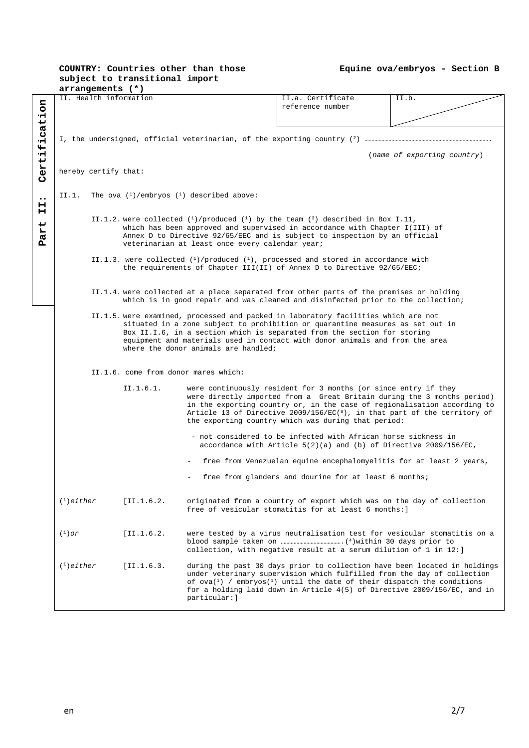# **COUNTRY: Countries other than those subject to transitional import**

|  |  |  |  | Equine ova/embryos – Section B |  |  |
|--|--|--|--|--------------------------------|--|--|
|--|--|--|--|--------------------------------|--|--|

|                  |                                      | arrangements (*)     |                        |                                                               |                                                                                                                                                                                |                             |  |
|------------------|--------------------------------------|----------------------|------------------------|---------------------------------------------------------------|--------------------------------------------------------------------------------------------------------------------------------------------------------------------------------|-----------------------------|--|
|                  |                                      |                      | II. Health information |                                                               | II.a. Certificate                                                                                                                                                              | II.b.                       |  |
| Certification    |                                      |                      |                        |                                                               | reference number                                                                                                                                                               |                             |  |
|                  |                                      |                      |                        |                                                               |                                                                                                                                                                                |                             |  |
|                  |                                      |                      |                        |                                                               |                                                                                                                                                                                |                             |  |
|                  |                                      |                      |                        |                                                               |                                                                                                                                                                                |                             |  |
|                  |                                      |                      |                        |                                                               |                                                                                                                                                                                |                             |  |
|                  |                                      |                      |                        |                                                               |                                                                                                                                                                                | (name of exporting country) |  |
|                  |                                      |                      |                        |                                                               |                                                                                                                                                                                |                             |  |
|                  |                                      | hereby certify that: |                        |                                                               |                                                                                                                                                                                |                             |  |
|                  |                                      |                      |                        |                                                               |                                                                                                                                                                                |                             |  |
|                  |                                      |                      |                        |                                                               |                                                                                                                                                                                |                             |  |
| $\bullet\bullet$ |                                      |                      |                        | II.1. The ova $({}^{1})$ /embryos $({}^{1})$ described above: |                                                                                                                                                                                |                             |  |
| н                |                                      |                      |                        |                                                               |                                                                                                                                                                                |                             |  |
| н                |                                      |                      |                        |                                                               |                                                                                                                                                                                |                             |  |
|                  |                                      |                      |                        |                                                               | II.1.2. were collected $(1)$ /produced $(1)$ by the team $(3)$ described in Box I.11,                                                                                          |                             |  |
| Part             |                                      |                      |                        |                                                               | which has been approved and supervised in accordance with Chapter I(III) of                                                                                                    |                             |  |
|                  |                                      |                      |                        |                                                               | Annex D to Directive 92/65/EEC and is subject to inspection by an official                                                                                                     |                             |  |
|                  |                                      |                      |                        | veterinarian at least once every calendar year;               |                                                                                                                                                                                |                             |  |
|                  |                                      |                      |                        |                                                               | II.1.3. were collected $(1)$ /produced $(1)$ , processed and stored in accordance with                                                                                         |                             |  |
|                  |                                      |                      |                        |                                                               | the requirements of Chapter III(II) of Annex D to Directive 92/65/EEC;                                                                                                         |                             |  |
|                  |                                      |                      |                        |                                                               |                                                                                                                                                                                |                             |  |
|                  |                                      |                      |                        |                                                               |                                                                                                                                                                                |                             |  |
|                  |                                      |                      |                        |                                                               | II.1.4. were collected at a place separated from other parts of the premises or holding                                                                                        |                             |  |
|                  |                                      |                      |                        |                                                               | which is in good repair and was cleaned and disinfected prior to the collection;                                                                                               |                             |  |
|                  |                                      |                      |                        |                                                               |                                                                                                                                                                                |                             |  |
|                  |                                      |                      |                        |                                                               | II.1.5. were examined, processed and packed in laboratory facilities which are not                                                                                             |                             |  |
|                  |                                      |                      |                        |                                                               | situated in a zone subject to prohibition or quarantine measures as set out in                                                                                                 |                             |  |
|                  |                                      |                      |                        |                                                               | Box II.I.6, in a section which is separated from the section for storing                                                                                                       |                             |  |
|                  |                                      |                      |                        |                                                               | equipment and materials used in contact with donor animals and from the area                                                                                                   |                             |  |
|                  |                                      |                      |                        | where the donor animals are handled;                          |                                                                                                                                                                                |                             |  |
|                  |                                      |                      |                        |                                                               |                                                                                                                                                                                |                             |  |
|                  | II.1.6. come from donor mares which: |                      |                        |                                                               |                                                                                                                                                                                |                             |  |
|                  |                                      |                      |                        |                                                               |                                                                                                                                                                                |                             |  |
|                  |                                      |                      | II.1.6.1.              |                                                               | were continuously resident for 3 months (or since entry if they                                                                                                                |                             |  |
|                  |                                      |                      |                        |                                                               | were directly imported from a Great Britain during the 3 months period)                                                                                                        |                             |  |
|                  |                                      |                      |                        |                                                               | in the exporting country or, in the case of regionalisation according to                                                                                                       |                             |  |
|                  |                                      |                      |                        |                                                               | Article 13 of Directive 2009/156/EC( $^{8}$ ), in that part of the territory of                                                                                                |                             |  |
|                  |                                      |                      |                        |                                                               | the exporting country which was during that period:                                                                                                                            |                             |  |
|                  |                                      |                      |                        |                                                               |                                                                                                                                                                                |                             |  |
|                  |                                      |                      |                        |                                                               | - not considered to be infected with African horse sickness in                                                                                                                 |                             |  |
|                  |                                      |                      |                        |                                                               | accordance with Article $5(2)(a)$ and (b) of Directive 2009/156/EC,                                                                                                            |                             |  |
|                  |                                      |                      |                        |                                                               |                                                                                                                                                                                |                             |  |
|                  |                                      |                      |                        |                                                               | free from Venezuelan equine encephalomyelitis for at least 2 years,                                                                                                            |                             |  |
|                  |                                      |                      |                        |                                                               | free from glanders and dourine for at least 6 months;                                                                                                                          |                             |  |
|                  |                                      |                      |                        |                                                               |                                                                                                                                                                                |                             |  |
|                  |                                      |                      |                        |                                                               |                                                                                                                                                                                |                             |  |
|                  | $(1)$ either                         |                      | [II.1.6.2]             |                                                               | originated from a country of export which was on the day of collection                                                                                                         |                             |  |
|                  |                                      |                      |                        |                                                               | free of vesicular stomatitis for at least 6 months:                                                                                                                            |                             |  |
|                  |                                      |                      |                        |                                                               |                                                                                                                                                                                |                             |  |
|                  |                                      |                      |                        |                                                               |                                                                                                                                                                                |                             |  |
|                  | $\binom{1}{1}$ or                    |                      | [II.1.6.2]             |                                                               | were tested by a virus neutralisation test for vesicular stomatitis on a                                                                                                       |                             |  |
|                  |                                      |                      |                        |                                                               |                                                                                                                                                                                |                             |  |
|                  |                                      |                      |                        |                                                               | collection, with negative result at a serum dilution of 1 in 12:                                                                                                               |                             |  |
|                  |                                      |                      |                        |                                                               |                                                                                                                                                                                |                             |  |
|                  | $(1)$ either                         |                      | [II.1.6.3]             |                                                               | during the past 30 days prior to collection have been located in holdings                                                                                                      |                             |  |
|                  |                                      |                      |                        |                                                               | under veterinary supervision which fulfilled from the day of collection                                                                                                        |                             |  |
|                  |                                      |                      |                        |                                                               | of ova( $\frac{1}{1}$ ) / embryos( $\frac{1}{1}$ ) until the date of their dispatch the conditions<br>for a holding laid down in Article 4(5) of Directive 2009/156/EC, and in |                             |  |
|                  |                                      |                      |                        | particular: ]                                                 |                                                                                                                                                                                |                             |  |
|                  |                                      |                      |                        |                                                               |                                                                                                                                                                                |                             |  |
|                  |                                      |                      |                        |                                                               |                                                                                                                                                                                |                             |  |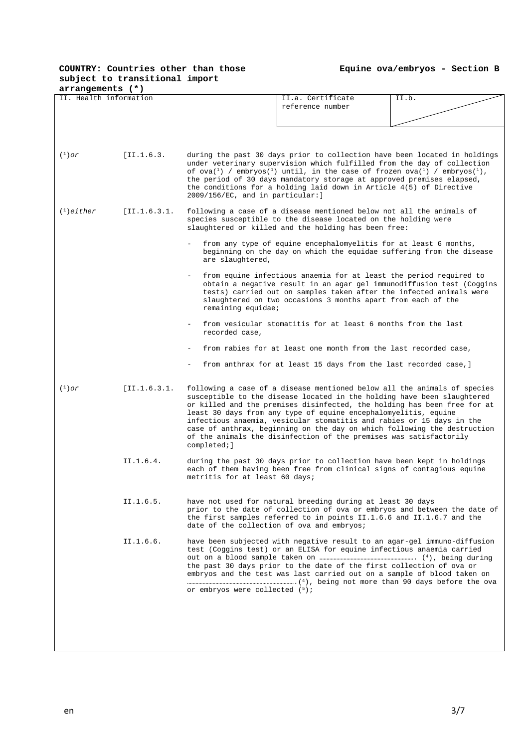## **COUNTRY: Countries other than those subject to transitional import**

**Equine ova/embryos - Section B** 

| arrangements (*)                                                                                                                                                                                                               |                                                                                                                                                                                                                                                                                                      |                                                                                                                                                                                                                                                                                                                                                                                                                                                                                                                                              |  |  |  |  |
|--------------------------------------------------------------------------------------------------------------------------------------------------------------------------------------------------------------------------------|------------------------------------------------------------------------------------------------------------------------------------------------------------------------------------------------------------------------------------------------------------------------------------------------------|----------------------------------------------------------------------------------------------------------------------------------------------------------------------------------------------------------------------------------------------------------------------------------------------------------------------------------------------------------------------------------------------------------------------------------------------------------------------------------------------------------------------------------------------|--|--|--|--|
| II. Health information                                                                                                                                                                                                         |                                                                                                                                                                                                                                                                                                      | II.a. Certificate<br>II.b.<br>reference number                                                                                                                                                                                                                                                                                                                                                                                                                                                                                               |  |  |  |  |
| $(1)$ or                                                                                                                                                                                                                       | [II.1.6.3.                                                                                                                                                                                                                                                                                           | during the past 30 days prior to collection have been located in holdings<br>under veterinary supervision which fulfilled from the day of collection<br>of ova $({}^{1})$ / embryos $({}^{1})$ until, in the case of frozen ova $({}^{1})$ / embryos $({}^{1})$ ,<br>the period of 30 days mandatory storage at approved premises elapsed,<br>the conditions for a holding laid down in Article 4(5) of Directive<br>2009/156/EC, and in particular: ]                                                                                       |  |  |  |  |
| $(1)$ either<br>[II.1.6.3.1]<br>following a case of a disease mentioned below not all the animals of<br>species susceptible to the disease located on the holding were<br>slaughtered or killed and the holding has been free: |                                                                                                                                                                                                                                                                                                      |                                                                                                                                                                                                                                                                                                                                                                                                                                                                                                                                              |  |  |  |  |
|                                                                                                                                                                                                                                |                                                                                                                                                                                                                                                                                                      | from any type of equine encephalomyelitis for at least 6 months,<br>beginning on the day on which the equidae suffering from the disease<br>are slaughtered,                                                                                                                                                                                                                                                                                                                                                                                 |  |  |  |  |
|                                                                                                                                                                                                                                |                                                                                                                                                                                                                                                                                                      | from equine infectious anaemia for at least the period required to<br>obtain a negative result in an agar gel immunodiffusion test (Coggins<br>tests) carried out on samples taken after the infected animals were<br>slaughtered on two occasions 3 months apart from each of the<br>remaining equidae;                                                                                                                                                                                                                                     |  |  |  |  |
|                                                                                                                                                                                                                                |                                                                                                                                                                                                                                                                                                      | from vesicular stomatitis for at least 6 months from the last<br>recorded case,                                                                                                                                                                                                                                                                                                                                                                                                                                                              |  |  |  |  |
|                                                                                                                                                                                                                                |                                                                                                                                                                                                                                                                                                      | from rabies for at least one month from the last recorded case,                                                                                                                                                                                                                                                                                                                                                                                                                                                                              |  |  |  |  |
|                                                                                                                                                                                                                                |                                                                                                                                                                                                                                                                                                      | from anthrax for at least 15 days from the last recorded case, ]                                                                                                                                                                                                                                                                                                                                                                                                                                                                             |  |  |  |  |
| $(1)$ or                                                                                                                                                                                                                       | [I1.1.6.3.1]                                                                                                                                                                                                                                                                                         | following a case of a disease mentioned below all the animals of species<br>susceptible to the disease located in the holding have been slaughtered<br>or killed and the premises disinfected, the holding has been free for at<br>least 30 days from any type of equine encephalomyelitis, equine<br>infectious anaemia, vesicular stomatitis and rabies or 15 days in the<br>case of anthrax, beginning on the day on which following the destruction<br>of the animals the disinfection of the premises was satisfactorily<br>completedi] |  |  |  |  |
|                                                                                                                                                                                                                                | II.1.6.4.                                                                                                                                                                                                                                                                                            | during the past 30 days prior to collection have been kept in holdings<br>each of them having been free from clinical signs of contagious equine<br>metritis for at least 60 days;                                                                                                                                                                                                                                                                                                                                                           |  |  |  |  |
|                                                                                                                                                                                                                                | II.1.6.5.                                                                                                                                                                                                                                                                                            | have not used for natural breeding during at least 30 days<br>prior to the date of collection of ova or embryos and between the date of<br>the first samples referred to in points II.1.6.6 and II.1.6.7 and the<br>date of the collection of ova and embryos;                                                                                                                                                                                                                                                                               |  |  |  |  |
|                                                                                                                                                                                                                                | have been subjected with negative result to an agar-gel immuno-diffusion<br>test (Coggins test) or an ELISA for equine infectious anaemia carried<br>the past 30 days prior to the date of the first collection of ova or<br>embryos and the test was last carried out on a sample of blood taken on |                                                                                                                                                                                                                                                                                                                                                                                                                                                                                                                                              |  |  |  |  |
|                                                                                                                                                                                                                                |                                                                                                                                                                                                                                                                                                      | or embryos were collected (5);                                                                                                                                                                                                                                                                                                                                                                                                                                                                                                               |  |  |  |  |
|                                                                                                                                                                                                                                |                                                                                                                                                                                                                                                                                                      |                                                                                                                                                                                                                                                                                                                                                                                                                                                                                                                                              |  |  |  |  |
|                                                                                                                                                                                                                                |                                                                                                                                                                                                                                                                                                      |                                                                                                                                                                                                                                                                                                                                                                                                                                                                                                                                              |  |  |  |  |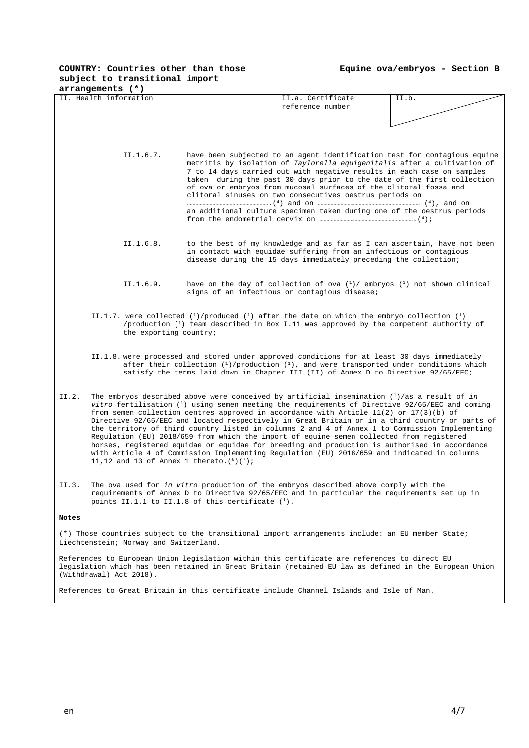## **COUNTRY: Countries other than those subject to transitional import**

**Equine ova/embryos - Section B** 

| arrangements (*)                                                                                                                           |                                                                                                                                                                                                                                                                                                                                                                                                                                                                                                                                                                                                                                                                                                                                                                                                                                                 |  |                                                                                                                                                                                                                                                                                                                                                                                                                                                                                                                      |       |  |  |
|--------------------------------------------------------------------------------------------------------------------------------------------|-------------------------------------------------------------------------------------------------------------------------------------------------------------------------------------------------------------------------------------------------------------------------------------------------------------------------------------------------------------------------------------------------------------------------------------------------------------------------------------------------------------------------------------------------------------------------------------------------------------------------------------------------------------------------------------------------------------------------------------------------------------------------------------------------------------------------------------------------|--|----------------------------------------------------------------------------------------------------------------------------------------------------------------------------------------------------------------------------------------------------------------------------------------------------------------------------------------------------------------------------------------------------------------------------------------------------------------------------------------------------------------------|-------|--|--|
|                                                                                                                                            | II. Health information                                                                                                                                                                                                                                                                                                                                                                                                                                                                                                                                                                                                                                                                                                                                                                                                                          |  | II.a. Certificate                                                                                                                                                                                                                                                                                                                                                                                                                                                                                                    | II.b. |  |  |
|                                                                                                                                            |                                                                                                                                                                                                                                                                                                                                                                                                                                                                                                                                                                                                                                                                                                                                                                                                                                                 |  | reference number                                                                                                                                                                                                                                                                                                                                                                                                                                                                                                     |       |  |  |
|                                                                                                                                            |                                                                                                                                                                                                                                                                                                                                                                                                                                                                                                                                                                                                                                                                                                                                                                                                                                                 |  |                                                                                                                                                                                                                                                                                                                                                                                                                                                                                                                      |       |  |  |
|                                                                                                                                            |                                                                                                                                                                                                                                                                                                                                                                                                                                                                                                                                                                                                                                                                                                                                                                                                                                                 |  |                                                                                                                                                                                                                                                                                                                                                                                                                                                                                                                      |       |  |  |
|                                                                                                                                            |                                                                                                                                                                                                                                                                                                                                                                                                                                                                                                                                                                                                                                                                                                                                                                                                                                                 |  |                                                                                                                                                                                                                                                                                                                                                                                                                                                                                                                      |       |  |  |
|                                                                                                                                            | II.1.6.7.                                                                                                                                                                                                                                                                                                                                                                                                                                                                                                                                                                                                                                                                                                                                                                                                                                       |  | have been subjected to an agent identification test for contagious equine<br>metritis by isolation of Taylorella equigenitalis after a cultivation of<br>7 to 14 days carried out with negative results in each case on samples<br>taken during the past 30 days prior to the date of the first collection<br>of ova or embryos from mucosal surfaces of the clitoral fossa and<br>clitoral sinuses on two consecutives oestrus periods on<br>an additional culture specimen taken during one of the oestrus periods |       |  |  |
|                                                                                                                                            |                                                                                                                                                                                                                                                                                                                                                                                                                                                                                                                                                                                                                                                                                                                                                                                                                                                 |  |                                                                                                                                                                                                                                                                                                                                                                                                                                                                                                                      |       |  |  |
|                                                                                                                                            |                                                                                                                                                                                                                                                                                                                                                                                                                                                                                                                                                                                                                                                                                                                                                                                                                                                 |  |                                                                                                                                                                                                                                                                                                                                                                                                                                                                                                                      |       |  |  |
|                                                                                                                                            | II.1.6.8.<br>to the best of my knowledge and as far as I can ascertain, have not been<br>in contact with equidae suffering from an infectious or contagious<br>disease during the 15 days immediately preceding the collection;                                                                                                                                                                                                                                                                                                                                                                                                                                                                                                                                                                                                                 |  |                                                                                                                                                                                                                                                                                                                                                                                                                                                                                                                      |       |  |  |
|                                                                                                                                            | II.1.6.9.                                                                                                                                                                                                                                                                                                                                                                                                                                                                                                                                                                                                                                                                                                                                                                                                                                       |  | have on the day of collection of ova $\binom{1}{1}$ embryos $\binom{1}{1}$ not shown clinical<br>signs of an infectious or contagious disease;                                                                                                                                                                                                                                                                                                                                                                       |       |  |  |
|                                                                                                                                            | II.1.7. were collected $(1)$ /produced $(1)$ after the date on which the embryo collection $(1)$<br>/production $(^1)$ team described in Box I.11 was approved by the competent authority of<br>the exporting country;                                                                                                                                                                                                                                                                                                                                                                                                                                                                                                                                                                                                                          |  |                                                                                                                                                                                                                                                                                                                                                                                                                                                                                                                      |       |  |  |
|                                                                                                                                            |                                                                                                                                                                                                                                                                                                                                                                                                                                                                                                                                                                                                                                                                                                                                                                                                                                                 |  | II.1.8. were processed and stored under approved conditions for at least 30 days immediately<br>after their collection $(1)$ /production $(1)$ , and were transported under conditions which<br>satisfy the terms laid down in Chapter III (II) of Annex D to Directive 92/65/EEC;                                                                                                                                                                                                                                   |       |  |  |
| II.2.                                                                                                                                      | The embryos described above were conceived by artificial insemination $(1)/as$ a result of in<br>vitro fertilisation $(1)$ using semen meeting the requirements of Directive 92/65/EEC and coming<br>from semen collection centres approved in accordance with Article $11(2)$ or $17(3)(b)$ of<br>Directive 92/65/EEC and located respectively in Great Britain or in a third country or parts of<br>the territory of third country listed in columns 2 and 4 of Annex 1 to Commission Implementing<br>Regulation (EU) 2018/659 from which the import of equine semen collected from registered<br>horses, registered equidae or equidae for breeding and production is authorised in accordance<br>with Article 4 of Commission Implementing Regulation (EU) 2018/659 and indicated in columns<br>11,12 and 13 of Annex 1 thereto. $(6)(7)$ ; |  |                                                                                                                                                                                                                                                                                                                                                                                                                                                                                                                      |       |  |  |
| II.3.                                                                                                                                      | The ova used for in vitro production of the embryos described above comply with the<br>requirements of Annex D to Directive 92/65/EEC and in particular the requirements set up in<br>points II.1.1 to II.1.8 of this certificate $(1)$ .                                                                                                                                                                                                                                                                                                                                                                                                                                                                                                                                                                                                       |  |                                                                                                                                                                                                                                                                                                                                                                                                                                                                                                                      |       |  |  |
| Notes                                                                                                                                      |                                                                                                                                                                                                                                                                                                                                                                                                                                                                                                                                                                                                                                                                                                                                                                                                                                                 |  |                                                                                                                                                                                                                                                                                                                                                                                                                                                                                                                      |       |  |  |
| (*) Those countries subject to the transitional import arrangements include: an EU member State;<br>Liechtenstein; Norway and Switzerland. |                                                                                                                                                                                                                                                                                                                                                                                                                                                                                                                                                                                                                                                                                                                                                                                                                                                 |  |                                                                                                                                                                                                                                                                                                                                                                                                                                                                                                                      |       |  |  |
|                                                                                                                                            | References to European Union legislation within this certificate are references to direct EU<br>legislation which has been retained in Great Britain (retained EU law as defined in the European Union<br>(Withdrawal) Act 2018).                                                                                                                                                                                                                                                                                                                                                                                                                                                                                                                                                                                                               |  |                                                                                                                                                                                                                                                                                                                                                                                                                                                                                                                      |       |  |  |
|                                                                                                                                            |                                                                                                                                                                                                                                                                                                                                                                                                                                                                                                                                                                                                                                                                                                                                                                                                                                                 |  | References to Great Britain in this certificate include Channel Islands and Isle of Man.                                                                                                                                                                                                                                                                                                                                                                                                                             |       |  |  |
|                                                                                                                                            |                                                                                                                                                                                                                                                                                                                                                                                                                                                                                                                                                                                                                                                                                                                                                                                                                                                 |  |                                                                                                                                                                                                                                                                                                                                                                                                                                                                                                                      |       |  |  |